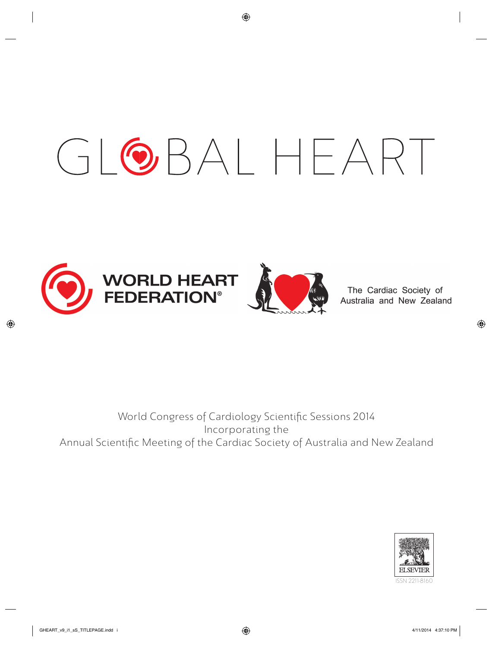# GLOBALHEART





The Cardiac Society of Australia and New Zealand

# World Congress of Cardiology Scientific Sessions 2014 Incorporating the Annual Scientific Meeting of the Cardiac Society of Australia and New Zealand

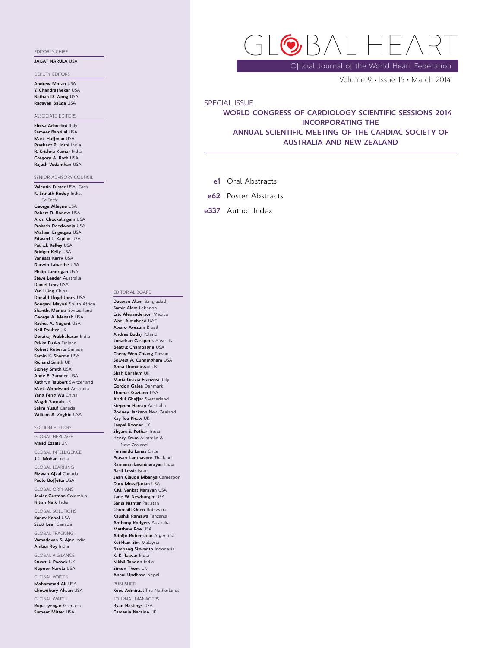### EDITOR-IN-CHIEF

### JAGAT NARULA USA

DEPUTY EDITORS

Andrew Moran USA Y. Chandrashekar USA Nathan D. Wong USA Ragaven Baliga USA

ASSOCIATE EDITORS

Eloisa Arbustini Italy Sameer Bansilal USA Mark Huffman USA Prashant P. Joshi India R. Krishna Kumar India Gregory A. Roth USA Rajesh Vedanthan USA

SENIOR ADVISORY COUNCIL Valentin Fuster USA, Chair K. Srinath Reddy India, Co-Chair George Alleyne USA Robert D. Bonow USA Arun Chockalingam USA Prakash Deedwania USA Michael Engelgau USA Edward L. Kaplan USA Patrick Kelley USA Bridget Kelly USA Vanessa Kerry USA Darwin Labarthe USA Philip Landrigan USA Steve Leeder Australia Daniel Levy USA Yan Lijing China Donald Lloyd-Jones USA Bongani Mayosi South Africa Shanthi Mendis Switzerland George A. Mensah USA Rachel A. Nugent USA Neil Poulter UK Dorairaj Prabhakaran India Pekka Puska Finland Robert Roberts Canada Samin K. Sharma USA Richard Smith UK Sidney Smith USA Anne E. Sumner USA Kathryn Taubert Switzerland Mark Woodward Australia Yang Feng Wu China Magdi Yacoub UK

Salim Yusuf Canada William A. Zoghbi USA

SECTION EDITORS

GLOBAL HERITAGE Majid Ezzati UK

GLOBAL INTELLIGENCE J.C. Mohan India

GLOBAL LEARNING Rizwan Afzal Canada

Paolo Boffetta USA GLOBAL ORPHANS

Javier Guzman Colombia Nitish Naik India

GLOBAL SOLUTIONS Kanav Kahol USA

Scott Lear Canada GLOBAL TRACKING

Vamadevan S. Ajay India Ambuj Roy India

GLOBAL VIGILANCE Stuart J. Pocock UK

Nupoor Narula USA GLOBAL VOICES

Mohammad Ali USA Chowdhury Ahsan USA

GLOBAL WATCH Rupa Iyengar Grenada Sumeet Mitter USA

Official Journal of the World Heart Federation

Volume 9 · Issue 1S · March 2014

### SPECIAL ISSUE

# WORLD CONGRESS OF CARDIOLOGY SCIENTIFIC SESSIONS 2014 INCORPORATING THE ANNUAL SCIENTIFIC MEETING OF THE CARDIAC SOCIETY OF AUSTRALIA AND NEW ZEALAND

- e1 Oral Abstracts
- e62 Poster Abstracts
- e337 Author Index

### EDITORIAL BOARD

Deewan Alam Bangladesh Samir Alam Lebanon Eric Alexanderson Mexico Wael Almaheed UAE Alvaro Avezum Brazil Andres Budaj Poland Jonathan Carapetis Australia Beatriz Champagne USA Cheng-Wen Chiang Taiwan Solveig A. Cunningham USA Anna Dominiczak UK Shah Ebrahim UK Maria Grazia Franzosi Italy Gordon Galea Denmark Thomas Gaziano USA Abdul Ghaffar Switzerland Stephen Harrap Australia Rodney Jackson New Zealand Kay Tee Khaw UK Jaspal Kooner UK Shyam S. Kothari India Henry Krum Australia & New Zealand Fernando Lanas Chile Prasart Laothavorn Thailand Ramanan Laxminarayan India Basil Lewis Israel Jean Claude Mbanya Cameroon Dary Mozaffarian USA K.M. Venkat Narayan USA Jane W. Newburger USA Sania Nishtar Pakistan Churchill Onen Botswana Kaushik Ramaiya Tanzania Anthony Rodgers Australia Matthew Roe USA Adolfo Rubenstein Argentina Kui-Hian Sim Malaysia Bambang Siswanto Indonesia K. K. Talwar India Nikhil Tandon India Simon Thom UK Abani Updhaya Nepal PUBLISHER Koos Admiraal The Netherlands JOURNAL MANAGERS

Ryan Hastings USA Camanie Naraine UK